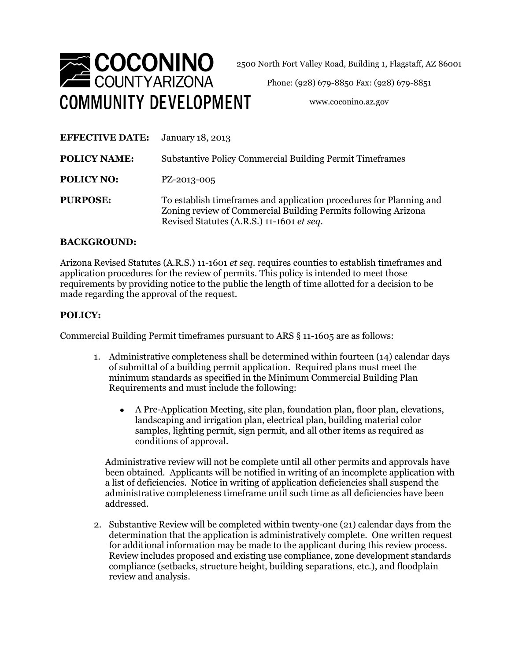

2500 North Fort Valley Road, Building 1, Flagstaff, AZ 86001

Phone: (928) 679-8850 Fax: (928) 679-8851

www.coconino.az.gov

| <b>EFFECTIVE DATE:</b> | January 18, 2013                                                                                                                                                                    |
|------------------------|-------------------------------------------------------------------------------------------------------------------------------------------------------------------------------------|
| <b>POLICY NAME:</b>    | <b>Substantive Policy Commercial Building Permit Timeframes</b>                                                                                                                     |
| <b>POLICY NO:</b>      | PZ-2013-005                                                                                                                                                                         |
| <b>PURPOSE:</b>        | To establish time frames and application procedures for Planning and<br>Zoning review of Commercial Building Permits following Arizona<br>Revised Statutes (A.R.S.) 11-1601 et seq. |

## **BACKGROUND:**

Arizona Revised Statutes (A.R.S.) 11-1601 *et seq*. requires counties to establish timeframes and application procedures for the review of permits. This policy is intended to meet those requirements by providing notice to the public the length of time allotted for a decision to be made regarding the approval of the request.

## **POLICY:**

Commercial Building Permit timeframes pursuant to ARS § 11-1605 are as follows:

- 1. Administrative completeness shall be determined within fourteen (14) calendar days of submittal of a building permit application. Required plans must meet the minimum standards as specified in the Minimum Commercial Building Plan Requirements and must include the following:
	- A Pre-Application Meeting, site plan, foundation plan, floor plan, elevations, landscaping and irrigation plan, electrical plan, building material color samples, lighting permit, sign permit, and all other items as required as conditions of approval.

Administrative review will not be complete until all other permits and approvals have been obtained.Applicants will be notified in writing of an incomplete application with a list of deficiencies. Notice in writing of application deficiencies shall suspend the administrative completeness timeframe until such time as all deficiencies have been addressed.

2. Substantive Review will be completed within twenty-one (21) calendar days from the determination that the application is administratively complete. One written request for additional information may be made to the applicant during this review process. Review includes proposed and existing use compliance, zone development standards compliance (setbacks, structure height, building separations, etc.), and floodplain review and analysis.